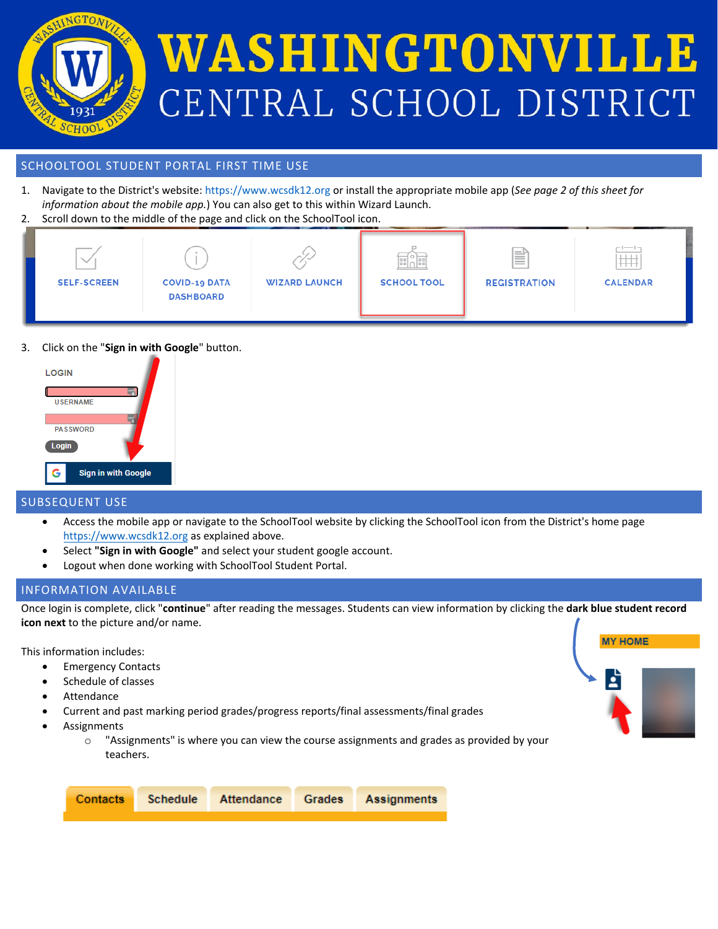

# WASHINGTONVILLE CENTRAL SCHOOL DISTRICT

#### SCHOOLTOOL STUDENT PORTAL FIRST TIME USE

- 1. Navigate to the District's website: [https://www.wcsdk12.org](https://www.ws.k12.ny.us/) or install the appropriate mobile app (*See page 2 of this sheet for information about the mobile app.*) You can also get to this within Wizard Launch.
- 2. Scroll down to the middle of the page and click on the SchoolTool icon.



3. Click on the "**Sign in with Google**" button.



### SUBSEQUENT USE

- Access the mobile app or navigate to the SchoolTool website by clicking the SchoolTool icon from the District's home page [https://www.](https://www.ws.k12.ny.us/)wcsdk12.org as explained above.
- Select **"Sign in with Google"** and select your student google account.
- Logout when done working with SchoolTool Student Portal.

### INFORMATION AVAILABLE

Once login is complete, click "**continue**" after reading the messages. Students can view information by clicking the **dark blue student record icon next** to the picture and/or name.

This information includes:

- Emergency Contacts
- Schedule of classes
- **Attendance**
- Current and past marking period grades/progress reports/final assessments/final grades
- **Assignments** 
	- $\circ$  "Assignments" is where you can view the course assignments and grades as provided by your teachers.